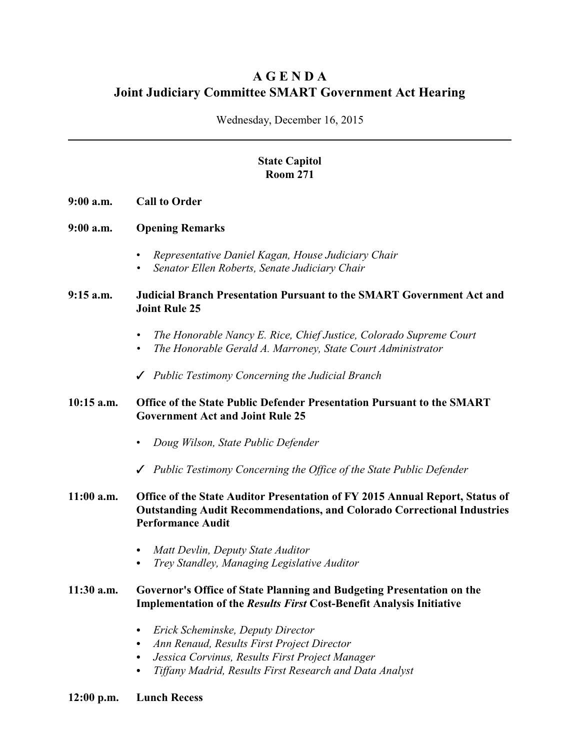# **A G E N D A Joint Judiciary Committee SMART Government Act Hearing**

Wednesday, December 16, 2015

# **State Capitol Room 271**

- **9:00 a.m. Call to Order**
- **9:00 a.m. Opening Remarks**
	- *Representative Daniel Kagan, House Judiciary Chair*
	- *• Senator Ellen Roberts, Senate Judiciary Chair*

#### **9:15 a.m. Judicial Branch Presentation Pursuant to the SMART Government Act and Joint Rule 25**

- *• The Honorable Nancy E. Rice, Chief Justice, Colorado Supreme Court*
- *• The Honorable Gerald A. Marroney, State Court Administrator*
- T *Public Testimony Concerning the Judicial Branch*

## **10:15 a.m. Office of the State Public Defender Presentation Pursuant to the SMART Government Act and Joint Rule 25**

- *Doug Wilson, State Public Defender*
- T *Public Testimony Concerning the Office of the State Public Defender*

## **11:00 a.m. Office of the State Auditor Presentation of FY 2015 Annual Report, Status of Outstanding Audit Recommendations, and Colorado Correctional Industries Performance Audit**

- C *Matt Devlin, Deputy State Auditor*
- *Trey Standley, Managing Legislative Auditor*

#### **11:30 a.m. Governor's Office of State Planning and Budgeting Presentation on the Implementation of the** *Results First* **Cost-Benefit Analysis Initiative**

- C *Erick Scheminske, Deputy Director*
- *C Ann Renaud, Results First Project Director*
- *C Jessica Corvinus, Results First Project Manager*
- *C Tiffany Madrid, Results First Research and Data Analyst*